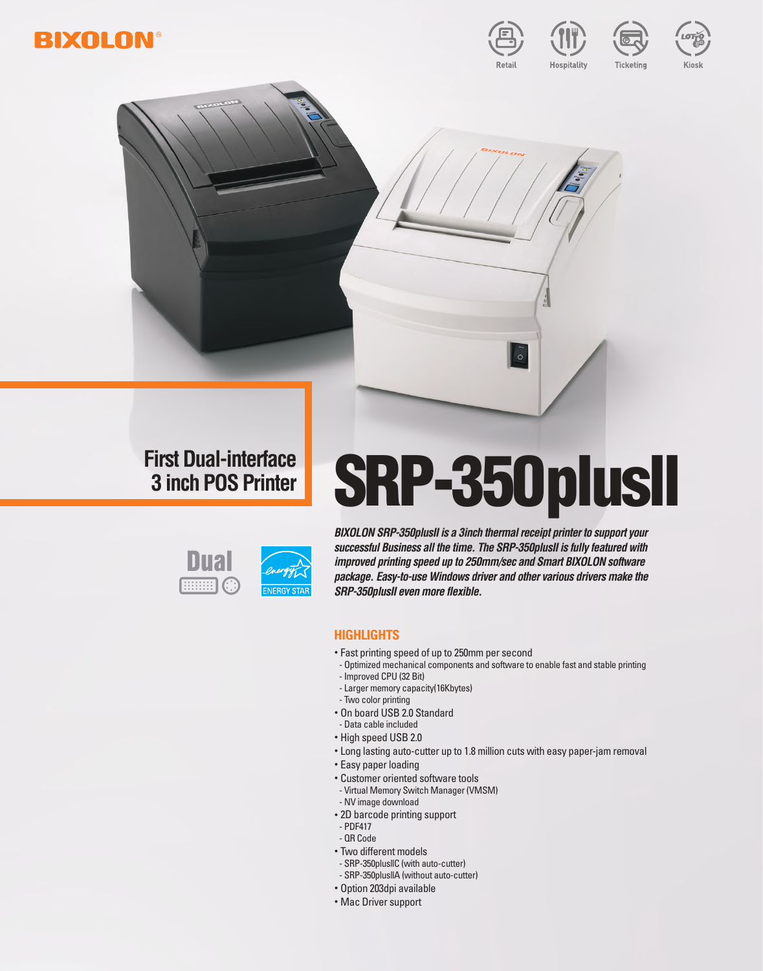



Kiosk

# **First Dual-interface**

# First Dual-interface **SRP-350plusII**



*BIXOLON SRP-350plusII is a 3inch thermal receipt printer to support your successful Business all the time. The SRP-350plusII is fully featured with improved printing speed up to 250mm/sec and Smart BIXOLON software package. Easy-to-use Windows driver and other various drivers make the SRP-350plusII even more flexible.* 

## **Highlights**

- Fast printing speed of up to 250mm per second
- Optimized mechanical components and software to enable fast and stable printing - Improved CPU (32 Bit)
- Larger memory capacity(16Kbytes)
- Two color printing
- On board USB 2.0 Standard
- Data cable included
- High speed USB 2.0
- Long lasting auto-cutter up to 1.8 million cuts with easy paper-jam removal
- Easy paper loading
- Customer oriented software tools
- Virtual Memory Switch Manager (VMSM)
- NV image download
- 2D barcode printing support
- PDF417
- QR Code
- Two different models
- SRP-350plusllC (with auto-cutter) - SRP-350plusllA (without auto-cutter)
- 
- Option 203dpi available
- Mac Driver support